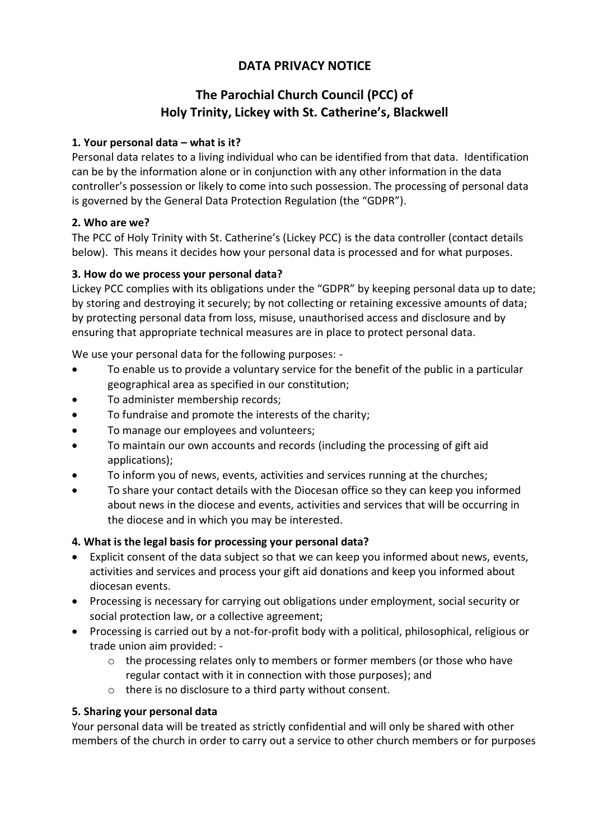# **DATA PRIVACY NOTICE**

# **The Parochial Church Council (PCC) of Holy Trinity, Lickey with St. Catherine's, Blackwell**

## **1. Your personal data – what is it?**

Personal data relates to a living individual who can be identified from that data. Identification can be by the information alone or in conjunction with any other information in the data controller's possession or likely to come into such possession. The processing of personal data is governed by the General Data Protection Regulation (the "GDPR").

#### **2. Who are we?**

The PCC of Holy Trinity with St. Catherine's (Lickey PCC) is the data controller (contact details below). This means it decides how your personal data is processed and for what purposes.

## **3. How do we process your personal data?**

Lickey PCC complies with its obligations under the "GDPR" by keeping personal data up to date; by storing and destroying it securely; by not collecting or retaining excessive amounts of data; by protecting personal data from loss, misuse, unauthorised access and disclosure and by ensuring that appropriate technical measures are in place to protect personal data.

We use your personal data for the following purposes: -

- To enable us to provide a voluntary service for the benefit of the public in a particular geographical area as specified in our constitution;
- To administer membership records;
- To fundraise and promote the interests of the charity;
- To manage our employees and volunteers;
- To maintain our own accounts and records (including the processing of gift aid applications);
- To inform you of news, events, activities and services running at the churches;
- To share your contact details with the Diocesan office so they can keep you informed about news in the diocese and events, activities and services that will be occurring in the diocese and in which you may be interested.

# **4. What is the legal basis for processing your personal data?**

- Explicit consent of the data subject so that we can keep you informed about news, events, activities and services and process your gift aid donations and keep you informed about diocesan events.
- Processing is necessary for carrying out obligations under employment, social security or social protection law, or a collective agreement;
- Processing is carried out by a not-for-profit body with a political, philosophical, religious or trade union aim provided: -
	- $\circ$  the processing relates only to members or former members (or those who have regular contact with it in connection with those purposes); and
	- o there is no disclosure to a third party without consent.

#### **5. Sharing your personal data**

Your personal data will be treated as strictly confidential and will only be shared with other members of the church in order to carry out a service to other church members or for purposes